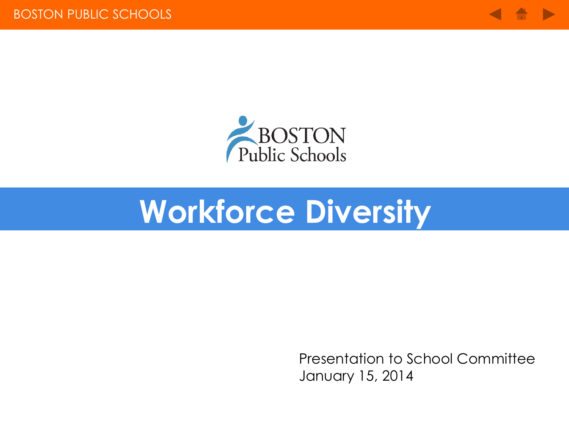



# **Workforce Diversity**

Presentation to School Committee January 15, 2014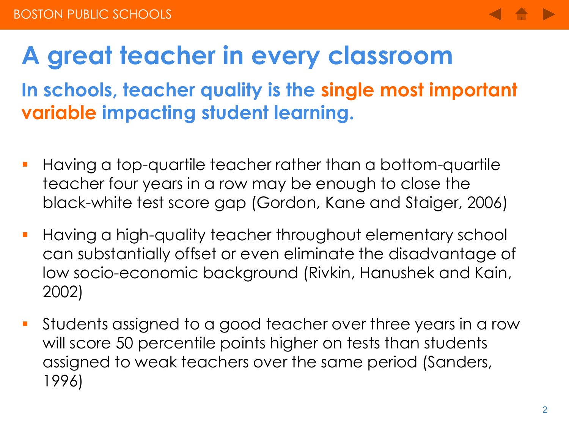

#### **A great teacher in every classroom**

#### **In schools, teacher quality is the single most important variable impacting student learning.**

- Having a top-quartile teacher rather than a bottom-quartile teacher four years in a row may be enough to close the black-white test score gap (Gordon, Kane and Staiger, 2006)
- Having a high-quality teacher throughout elementary school can substantially offset or even eliminate the disadvantage of low socio-economic background (Rivkin, Hanushek and Kain, 2002)
- Students assigned to a good teacher over three years in a row will score 50 percentile points higher on tests than students assigned to weak teachers over the same period (Sanders, 1996)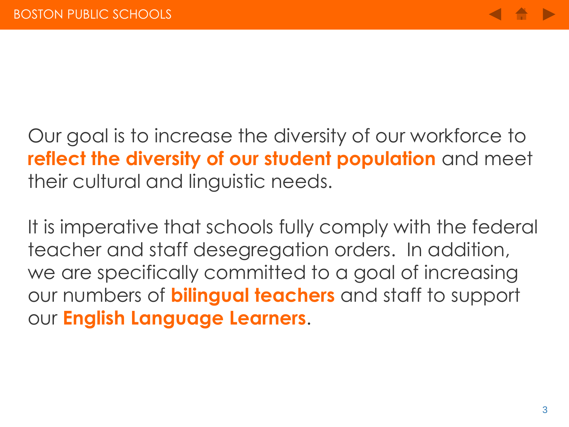Our goal is to increase the diversity of our workforce to **reflect the diversity of our student population** and meet their cultural and linguistic needs.

It is imperative that schools fully comply with the federal teacher and staff desegregation orders. In addition, we are specifically committed to a goal of increasing our numbers of **bilingual teachers** and staff to support our **English Language Learners**.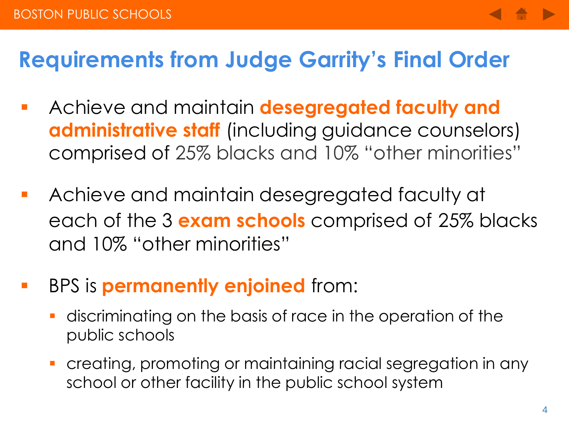#### **Requirements from Judge Garrity's Final Order**

- Achieve and maintain **desegregated faculty and administrative staff** (including guidance counselors) comprised of 25% blacks and 10% "other minorities"
- Achieve and maintain desegregated faculty at each of the 3 **exam schools** comprised of 25% blacks and 10% "other minorities"
- BPS is **permanently enjoined** from:
	- discriminating on the basis of race in the operation of the public schools
	- creating, promoting or maintaining racial segregation in any school or other facility in the public school system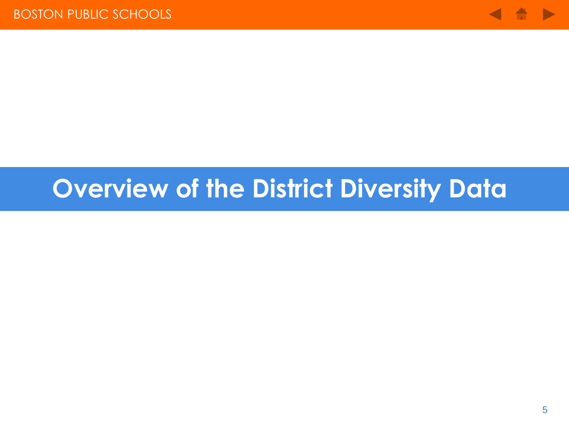

#### **Overview of the District Diversity Data**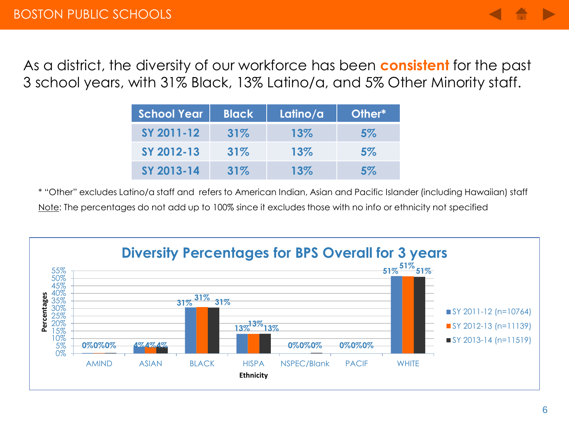As a district, the diversity of our workforce has been **consistent** for the past 3 school years, with 31% Black, 13% Latino/a, and 5% Other Minority staff.

| <b>School Year</b> | <b>Black</b> | Latino/a | <b>Other*</b> |
|--------------------|--------------|----------|---------------|
| SY 2011-12         | 31%          | 13%      | 5%            |
| SY 2012-13         | 31%          | 13%      | $5\%$         |
| SY 2013-14         | 31%          | 13%      | 5%            |

\* "Other" excludes Latino/a staff and refers to American Indian, Asian and Pacific Islander (including Hawaiian) staff Note: The percentages do not add up to 100% since it excludes those with no info or ethnicity not specified

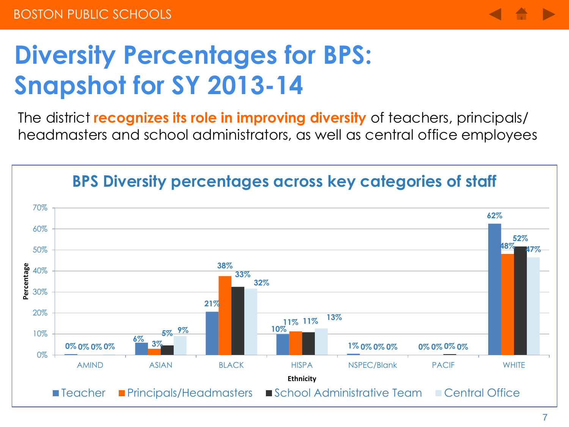

#### **Diversity Percentages for BPS: Snapshot for SY 2013-14**

The district **recognizes its role in improving diversity** of teachers, principals/ headmasters and school administrators, as well as central office employees



#### **BPS Diversity percentages across key categories of staff**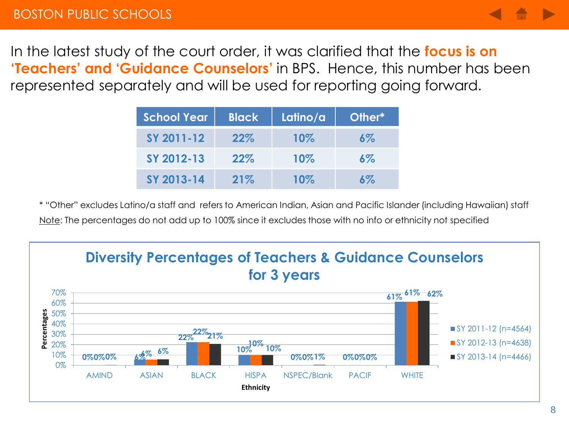

In the latest study of the court order, it was clarified that the **focus is on 'Teachers' and 'Guidance Counselors'** in BPS. Hence, this number has been represented separately and will be used for reporting going forward.

| <b>School Year</b> | <b>Black</b> | Latino/a | <b>Other*</b> |
|--------------------|--------------|----------|---------------|
| SY 2011-12         | 22%          | 10%      | $6\%$         |
| SY 2012-13         | 22%          | 10%      | $6\%$         |
| SY 2013-14         | 21%          | 10%      | <u>አጁ</u>     |

\* "Other" excludes Latino/a staff and refers to American Indian, Asian and Pacific Islander (including Hawaiian) staff Note: The percentages do not add up to 100% since it excludes those with no info or ethnicity not specified

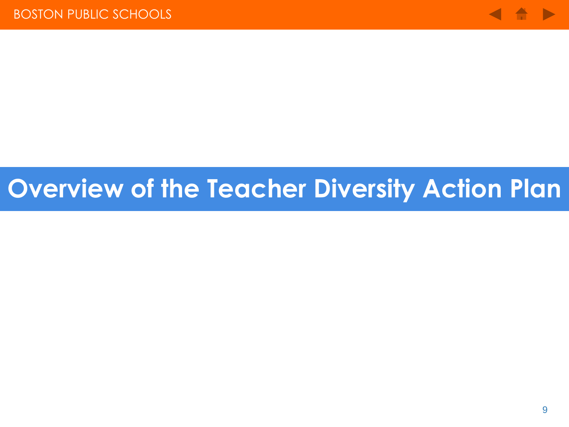

#### **Overview of the Teacher Diversity Action Plan**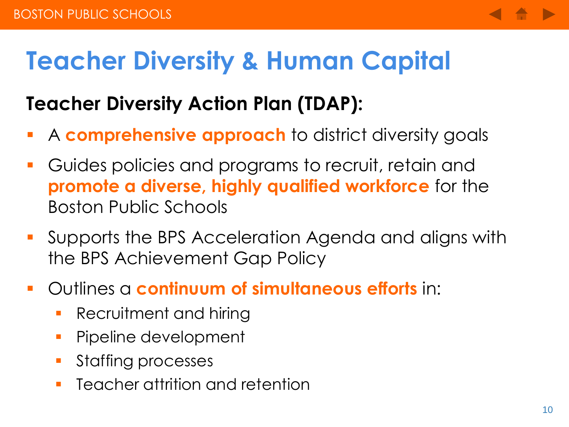#### **Teacher Diversity & Human Capital**

#### **Teacher Diversity Action Plan (TDAP):**

- A **comprehensive approach** to district diversity goals
- Guides policies and programs to recruit, retain and **promote a diverse, highly qualified workforce** for the Boston Public Schools
- Supports the BPS Acceleration Agenda and aligns with the BPS Achievement Gap Policy
- Outlines a **continuum of simultaneous efforts** in:
	- **Recruitment and hiring**
	- **Pipeline development**
	- **Staffing processes**
	- **F** Teacher attrition and retention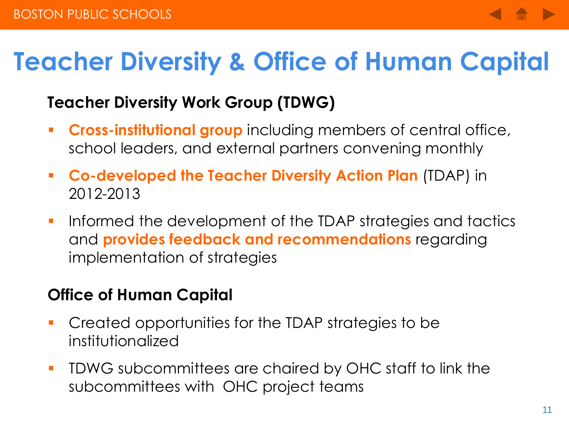#### **Teacher Diversity & Office of Human Capital**

#### **Teacher Diversity Work Group (TDWG)**

- **Cross-institutional group** including members of central office, school leaders, and external partners convening monthly
- **Co-developed the Teacher Diversity Action Plan** (TDAP) in 2012-2013
- **If a** Informed the development of the TDAP strategies and tactics and **provides feedback and recommendations** regarding implementation of strategies

#### **Office of Human Capital**

- Created opportunities for the TDAP strategies to be institutionalized
- **TIDWG** subcommittees are chaired by OHC staff to link the subcommittees with OHC project teams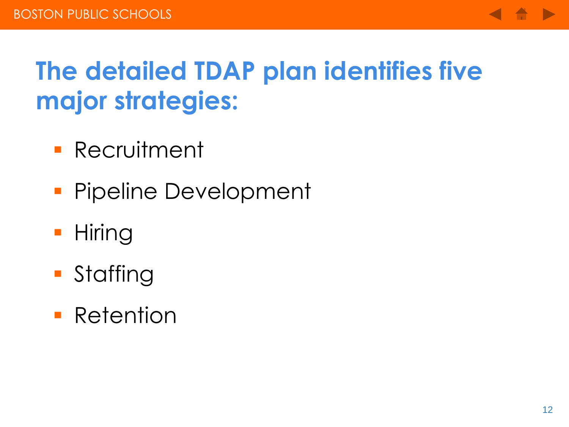

## **The detailed TDAP plan identifies five major strategies:**

- **Recruitment**
- **Pipeline Development**
- **Hiring**
- **Staffing**
- **Retention**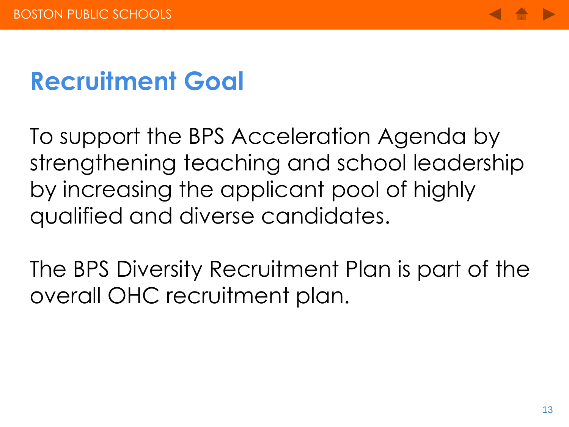

#### **Recruitment Goal**

To support the BPS Acceleration Agenda by strengthening teaching and school leadership by increasing the applicant pool of highly qualified and diverse candidates.

The BPS Diversity Recruitment Plan is part of the overall OHC recruitment plan.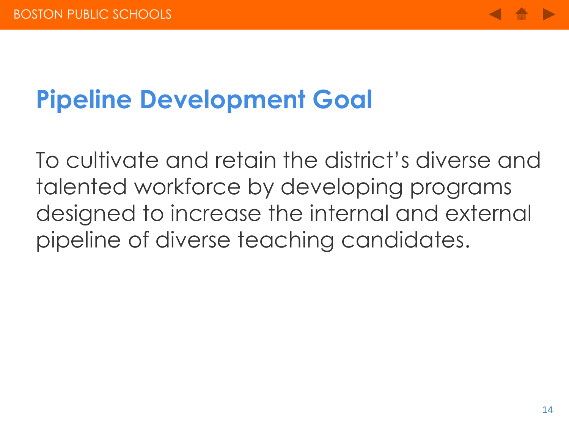

## **Pipeline Development Goal**

To cultivate and retain the district's diverse and talented workforce by developing programs designed to increase the internal and external pipeline of diverse teaching candidates.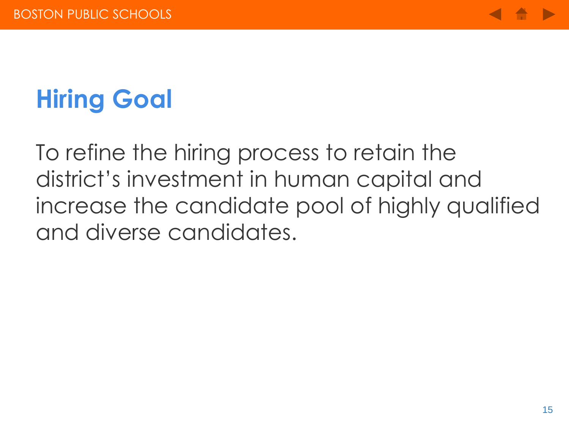

# **Hiring Goal**

To refine the hiring process to retain the district's investment in human capital and increase the candidate pool of highly qualified and diverse candidates.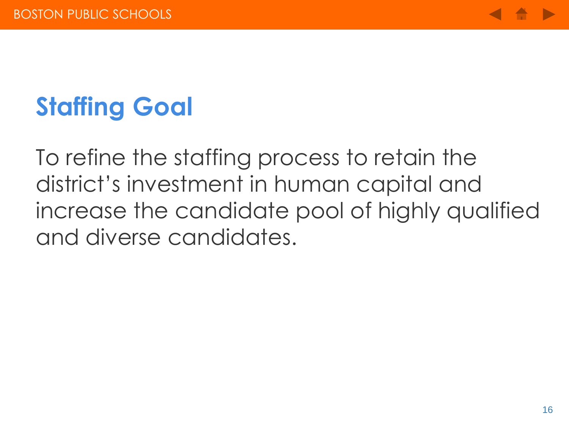

# **Staffing Goal**

To refine the staffing process to retain the district's investment in human capital and increase the candidate pool of highly qualified and diverse candidates.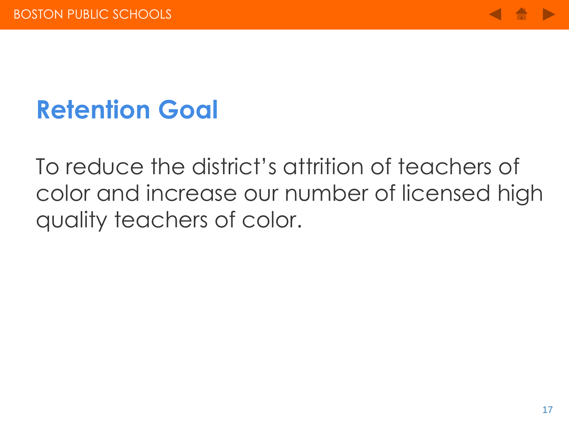

#### **Retention Goal**

To reduce the district's attrition of teachers of color and increase our number of licensed high quality teachers of color.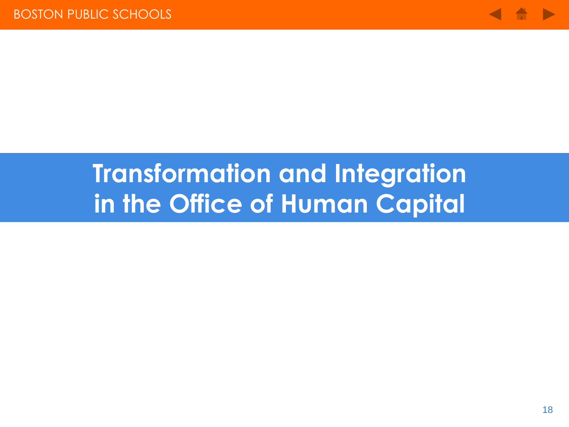

#### **Transformation and Integration in the Office of Human Capital**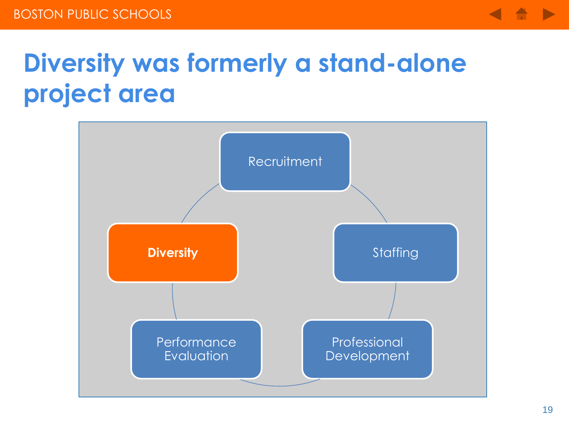

## **Diversity was formerly a stand-alone project area**

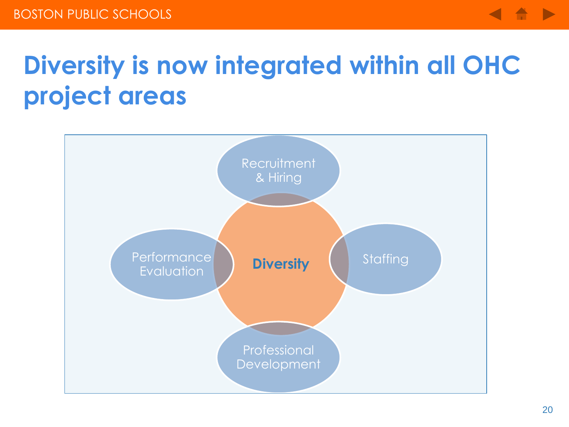

## **Diversity is now integrated within all OHC project areas**

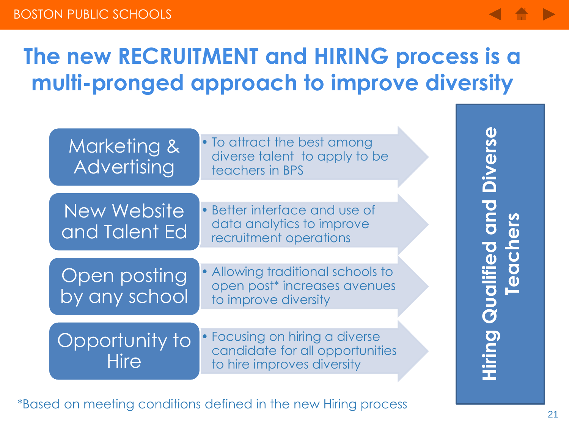



\*Based on meeting conditions defined in the new Hiring process

**Teachers**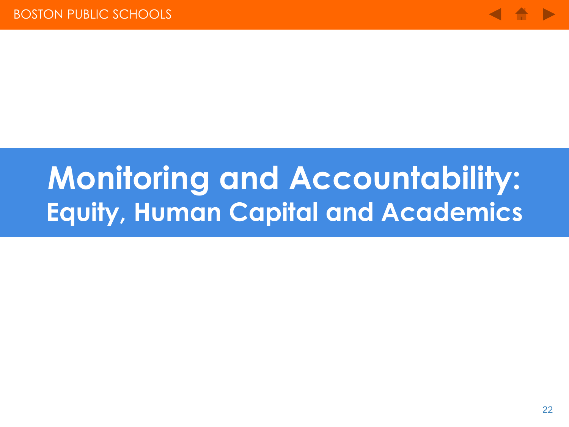

# **Monitoring and Accountability: Equity, Human Capital and Academics**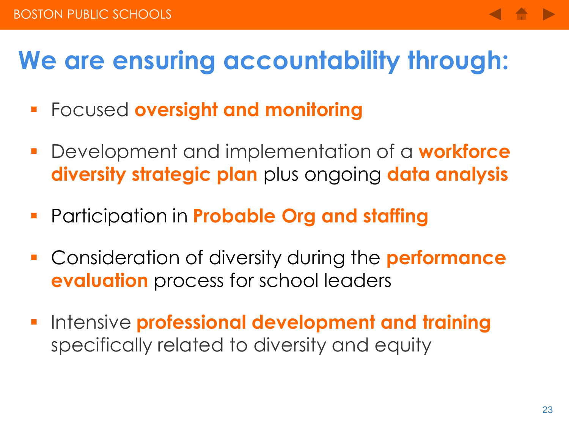#### **We are ensuring accountability through:**

- Focused **oversight and monitoring**
- Development and implementation of a **workforce diversity strategic plan** plus ongoing **data analysis**
- Participation in **Probable Org and staffing**
- Consideration of diversity during the **performance evaluation** process for school leaders
- Intensive **professional development and training** specifically related to diversity and equity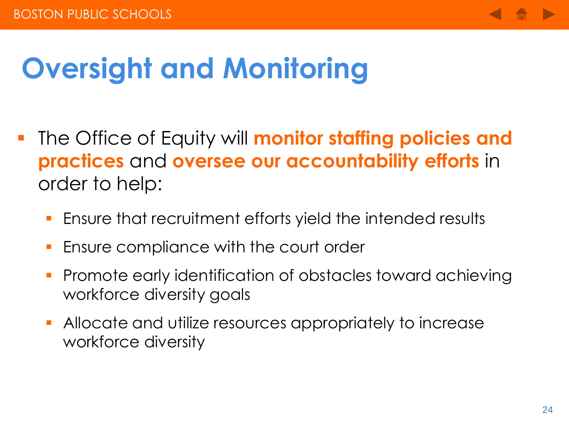

# **Oversight and Monitoring**

- **The Office of Equity will monitor staffing policies and practices** and **oversee our accountability efforts** in order to help:
	- Ensure that recruitment efforts yield the intended results
	- Ensure compliance with the court order
	- Promote early identification of obstacles toward achieving workforce diversity goals
	- **Allocate and utilize resources appropriately to increase** workforce diversity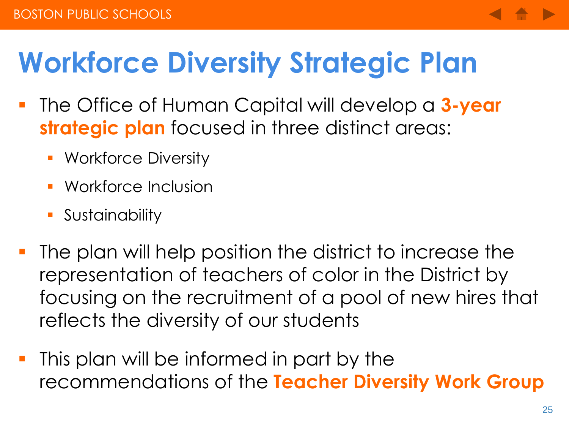# **Workforce Diversity Strategic Plan**

- The Office of Human Capital will develop a **3-year strategic plan** focused in three distinct areas:
	- **Workforce Diversity**
	- Workforce Inclusion
	- **Sustainability**
- The plan will help position the district to increase the representation of teachers of color in the District by focusing on the recruitment of a pool of new hires that reflects the diversity of our students
- **This plan will be informed in part by the** recommendations of the **Teacher Diversity Work Group**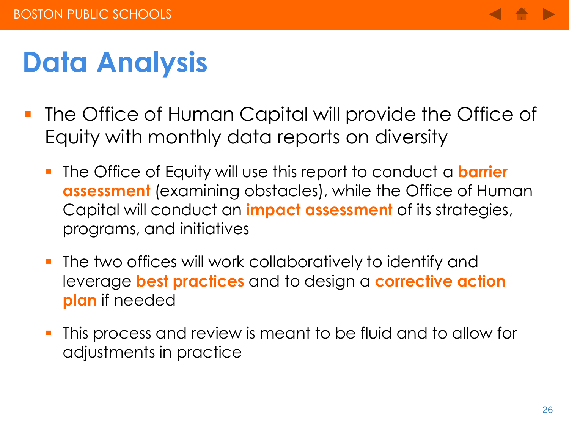

# **Data Analysis**

- **The Office of Human Capital will provide the Office of** Equity with monthly data reports on diversity
	- The Office of Equity will use this report to conduct a **barrier assessment** (examining obstacles), while the Office of Human Capital will conduct an **impact assessment** of its strategies, programs, and initiatives
	- **The two offices will work collaboratively to identify and** leverage **best practices** and to design a **corrective action plan** if needed
	- This process and review is meant to be fluid and to allow for adjustments in practice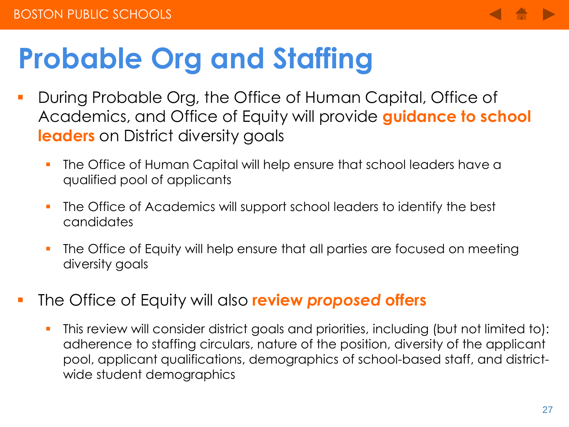

# **Probable Org and Staffing**

- During Probable Org, the Office of Human Capital, Office of Academics, and Office of Equity will provide **guidance to school leaders** on District diversity goals
	- The Office of Human Capital will help ensure that school leaders have a qualified pool of applicants
	- **The Office of Academics will support school leaders to identify the best** candidates
	- **The Office of Equity will help ensure that all parties are focused on meeting** diversity goals
- The Office of Equity will also **review** *proposed* **offers** 
	- This review will consider district goals and priorities, including (but not limited to): adherence to staffing circulars, nature of the position, diversity of the applicant pool, applicant qualifications, demographics of school-based staff, and districtwide student demographics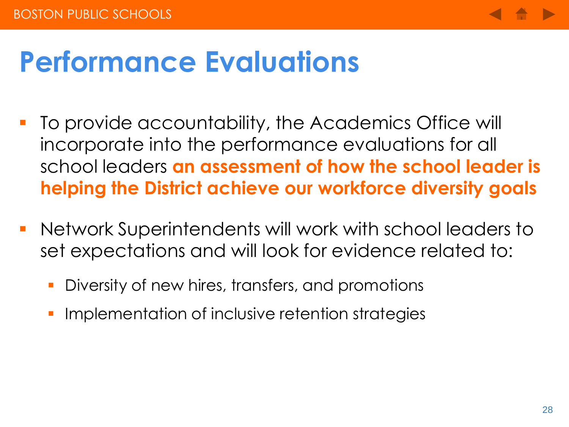

# **Performance Evaluations**

- To provide accountability, the Academics Office will incorporate into the performance evaluations for all school leaders **an assessment of how the school leader is helping the District achieve our workforce diversity goals**
- Network Superintendents will work with school leaders to set expectations and will look for evidence related to:
	- **Diversity of new hires, transfers, and promotions**
	- Implementation of inclusive retention strategies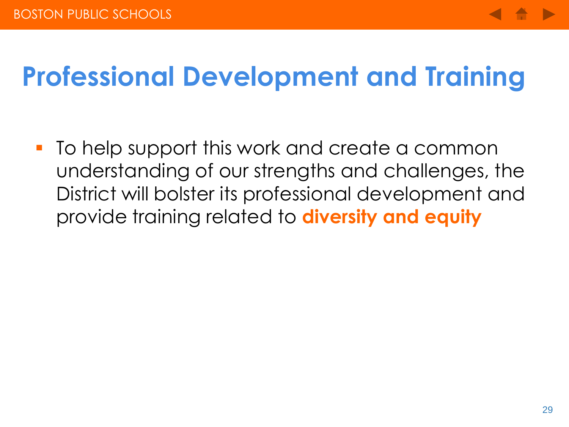

## **Professional Development and Training**

 To help support this work and create a common understanding of our strengths and challenges, the District will bolster its professional development and provide training related to **diversity and equity**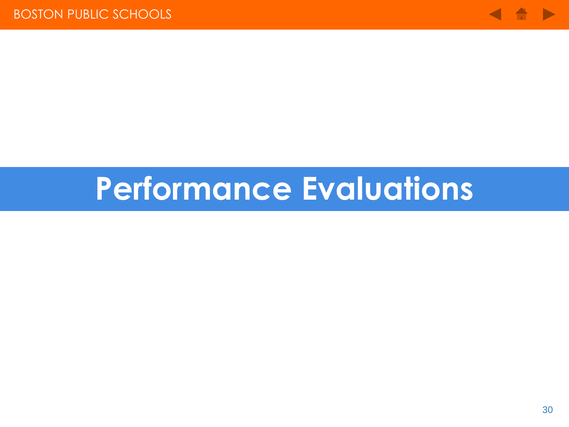

# **Performance Evaluations**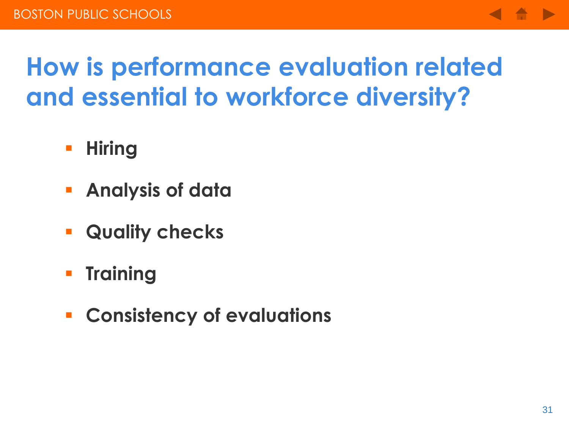

## **How is performance evaluation related and essential to workforce diversity?**

- **Hiring**
- **Analysis of data**
- **Quality checks**
- **Training**
- **Consistency of evaluations**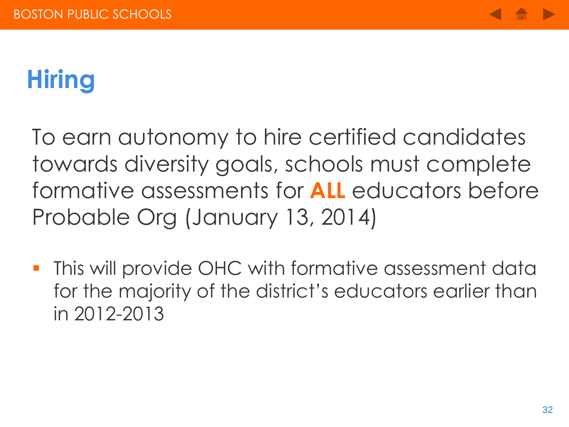

# **Hiring**

To earn autonomy to hire certified candidates towards diversity goals, schools must complete formative assessments for **ALL** educators before Probable Org (January 13, 2014)

**This will provide OHC with formative assessment data** for the majority of the district's educators earlier than in 2012-2013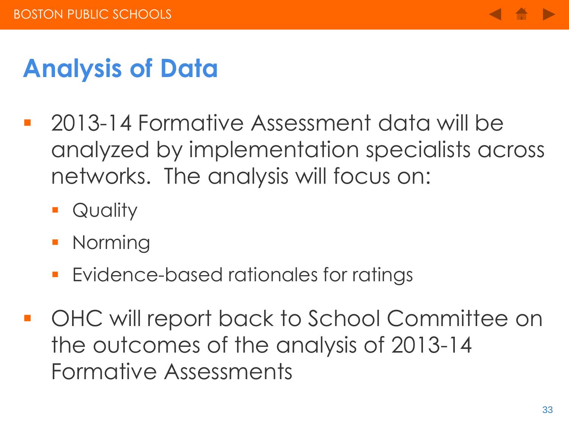

## **Analysis of Data**

- 2013-14 Formative Assessment data will be analyzed by implementation specialists across networks. The analysis will focus on:
	- **Quality**
	- **Norming**
	- **Evidence-based rationales for ratings**
- OHC will report back to School Committee on the outcomes of the analysis of 2013-14 Formative Assessments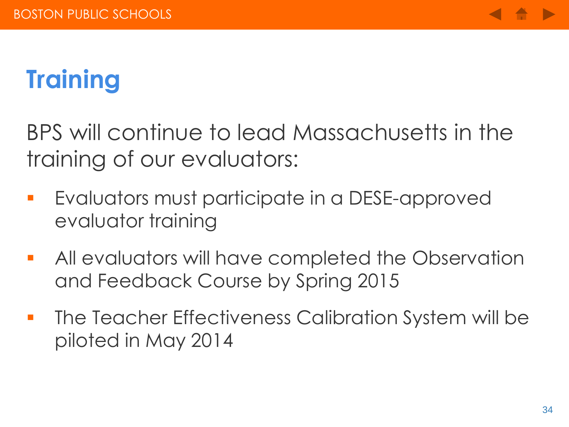

# **Training**

BPS will continue to lead Massachusetts in the training of our evaluators:

- **E**valuators must participate in a DESE-approved evaluator training
- **All** evaluators will have completed the Observation and Feedback Course by Spring 2015
- **The Teacher Effectiveness Calibration System will be** piloted in May 2014